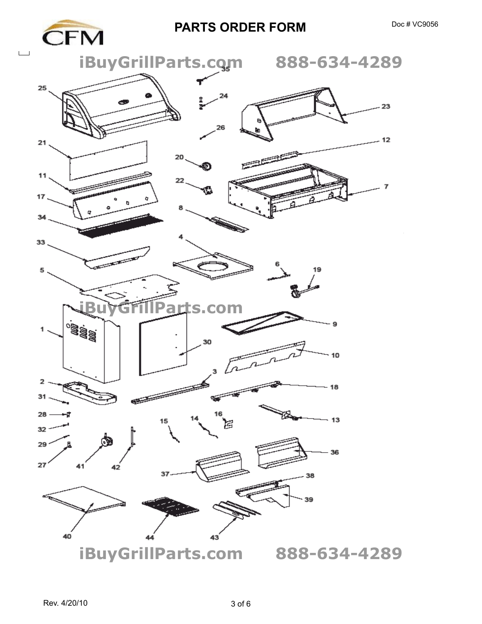## **PARTS ORDER FORM** Doc # VC9056

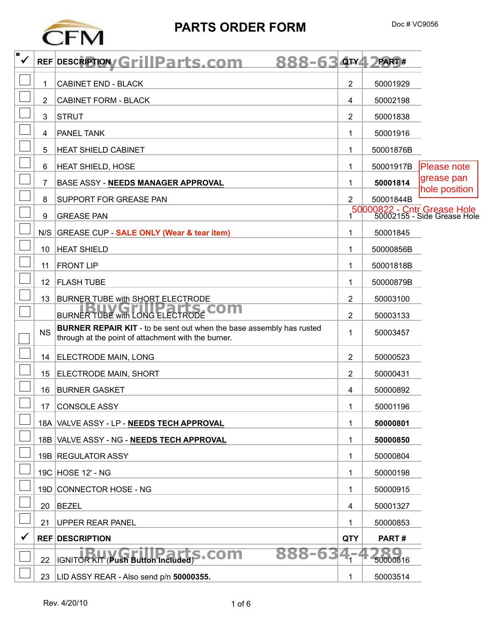

## **PARTS ORDER FORM** Doc # VC9056

| o<br>✔ |                | REF DESCRIPTION Grill Parts.com<br>888-63                                                                                          |                | QTY4 DPART# |                                                              |
|--------|----------------|------------------------------------------------------------------------------------------------------------------------------------|----------------|-------------|--------------------------------------------------------------|
|        | 1.             | <b>CABINET END - BLACK</b>                                                                                                         | 2              | 50001929    |                                                              |
|        | 2              | <b>CABINET FORM - BLACK</b>                                                                                                        | 4              | 50002198    |                                                              |
|        | 3              | <b>STRUT</b>                                                                                                                       | 2              | 50001838    |                                                              |
|        | 4              | <b>PANEL TANK</b>                                                                                                                  | 1              | 50001916    |                                                              |
|        | 5              | <b>HEAT SHIELD CABINET</b>                                                                                                         | 1              | 50001876B   |                                                              |
|        | 6              | <b>HEAT SHIELD, HOSE</b>                                                                                                           | 1              | 50001917B   | <b>Please note</b>                                           |
|        | $\overline{7}$ | BASE ASSY - NEEDS MANAGER APPROVAL                                                                                                 | 1              | 50001814    | grease pan<br>hole position                                  |
|        | 8              | <b>SUPPORT FOR GREASE PAN</b>                                                                                                      | 2              | 50001844B   |                                                              |
|        | 9              | <b>GREASE PAN</b>                                                                                                                  |                |             | 50000822 - Cntr Grease Hole<br>1 50002155 - Side Grease Hole |
|        |                | N/S GREASE CUP - SALE ONLY (Wear & tear item)                                                                                      | 1              | 50001845    |                                                              |
|        | 10             | <b>HEAT SHIELD</b>                                                                                                                 | 1              | 50000856B   |                                                              |
|        | 11             | <b>FRONT LIP</b>                                                                                                                   | 1              | 50001818B   |                                                              |
|        | 12             | <b>FLASH TUBE</b>                                                                                                                  | 1              | 50000879B   |                                                              |
|        | 13             | <b>BURNER TUBE with SHORT ELECTRODE</b>                                                                                            | 2              | 50003100    |                                                              |
|        |                | BURNER TUBE WITH LONG ELECTRODE COM                                                                                                | $\overline{2}$ | 50003133    |                                                              |
|        | <b>NS</b>      | <b>BURNER REPAIR KIT</b> - to be sent out when the base assembly has rusted<br>through at the point of attachment with the burner. | 1              | 50003457    |                                                              |
|        | 14             | <b>ELECTRODE MAIN, LONG</b>                                                                                                        | $\overline{2}$ | 50000523    |                                                              |
|        | 15             | <b>ELECTRODE MAIN, SHORT</b>                                                                                                       | 2              | 50000431    |                                                              |
|        | 16             | <b>BURNER GASKET</b>                                                                                                               | 4              | 50000892    |                                                              |
|        | 17             | <b>CONSOLE ASSY</b>                                                                                                                | 1              | 50001196    |                                                              |
|        |                | 18A VALVE ASSY - LP - NEEDS TECH APPROVAL                                                                                          | 1              | 50000801    |                                                              |
|        |                | 18B VALVE ASSY - NG - NEEDS TECH APPROVAL                                                                                          | 1              | 50000850    |                                                              |
|        |                | 19B REGULATOR ASSY                                                                                                                 | 1              | 50000804    |                                                              |
|        |                | 19C HOSE 12' - NG                                                                                                                  | 1              | 50000198    |                                                              |
|        |                | 19D CONNECTOR HOSE - NG                                                                                                            | 1              | 50000915    |                                                              |
|        | 20             | <b>BEZEL</b>                                                                                                                       | 4              | 50001327    |                                                              |
|        | 21             | <b>UPPER REAR PANEL</b>                                                                                                            | 1              | 50000853    |                                                              |
|        |                | <b>REF DESCRIPTION</b>                                                                                                             | <b>QTY</b>     | PART#       |                                                              |
|        | 22             | 888-63<br>IGNITOR KIT (Push Button Included) S . COM                                                                               | $4 - 4$        | 50000816    |                                                              |
|        | 23             | LID ASSY REAR - Also send p/n 50000355.                                                                                            | 1              | 50003514    |                                                              |